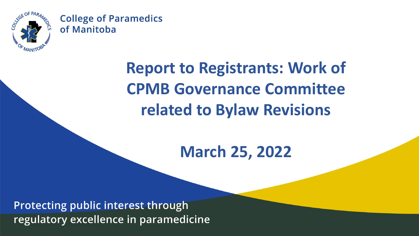

## **Report to Registrants: Work of CPMB Governance Committee related to Bylaw Revisions**

### **March 25, 2022**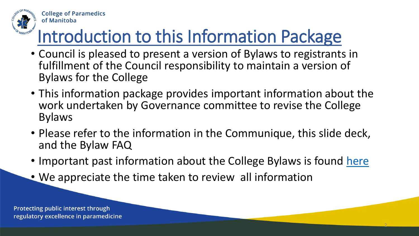

# Introduction to this Information Package

- Council is pleased to present a version of Bylaws to registrants in fulfillment of the Council responsibility to maintain a version of Bylaws for the College
- This information package provides important information about the work undertaken by Governance committee to revise the College Bylaws
- Please refer to the information in the Communique, this slide deck, and the Bylaw FAQ
- Important past information about the College Bylaws is found [here](https://collegeparamb.ca/2021/12/college-bylaws-open-forum/)

2

• We appreciate the time taken to review all information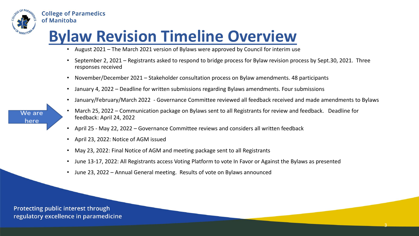

### **Bylaw Revision Timeline Overview**

- August 2021 The March 2021 version of Bylaws were approved by Council for interim use
- September 2, 2021 Registrants asked to respond to bridge process for Bylaw revision process by Sept.30, 2021. Three responses received
- November/December 2021 Stakeholder consultation process on Bylaw amendments. 48 participants
- January 4, 2022 Deadline for written submissions regarding Bylaws amendments. Four submissions
- January/February/March 2022 Governance Committee reviewed all feedback received and made amendments to Bylaws

3

- We are here
- March 25, 2022 Communication package on Bylaws sent to all Registrants for review and feedback. Deadline for feedback: April 24, 2022
- April 25 May 22, 2022 Governance Committee reviews and considers all written feedback
- April 23, 2022: Notice of AGM issued
- May 23, 2022: Final Notice of AGM and meeting package sent to all Registrants
- June 13-17, 2022: All Registrants access Voting Platform to vote In Favor or Against the Bylaws as presented
- June 23, 2022 Annual General meeting. Results of vote on Bylaws announced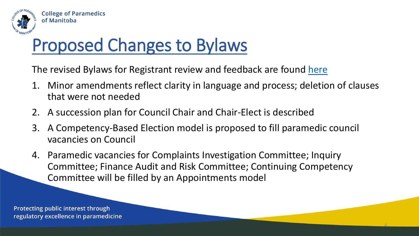

# Proposed Changes to Bylaws

The revised Bylaws for Registrant review and feedback are found [here](https://collegeparamb.ca/wp-content/uploads/2022/03/CPMB-Bylaws-March-25-2022.pdf)

- 1. Minor amendments reflect clarity in language and process; deletion of clauses that were not needed
- 2. A succession plan for Council Chair and Chair-Elect is described
- 3. A Competency-Based Election model is proposed to fill paramedic council vacancies on Council
- 4. Paramedic vacancies for Complaints Investigation Committee; Inquiry Committee; Finance Audit and Risk Committee; Continuing Competency Committee will be filled by an Appointments model

4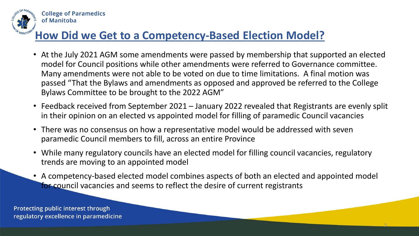

#### **How Did we Get to a Competency-Based Election Model?**

- At the July 2021 AGM some amendments were passed by membership that supported an elected model for Council positions while other amendments were referred to Governance committee. Many amendments were not able to be voted on due to time limitations. A final motion was passed "That the Bylaws and amendments as opposed and approved be referred to the College Bylaws Committee to be brought to the 2022 AGM"
- Feedback received from September 2021 January 2022 revealed that Registrants are evenly split in their opinion on an elected vs appointed model for filling of paramedic Council vacancies
- There was no consensus on how a representative model would be addressed with seven paramedic Council members to fill, across an entire Province
- While many regulatory councils have an elected model for filling council vacancies, regulatory trends are moving to an appointed model
- A competency-based elected model combines aspects of both an elected and appointed model for council vacancies and seems to reflect the desire of current registrants

5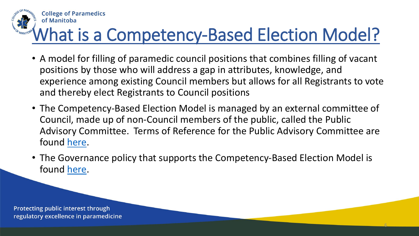

# What is a Competency-Based Election Model?

- A model for filling of paramedic council positions that combines filling of vacant positions by those who will address a gap in attributes, knowledge, and experience among existing Council members but allows for all Registrants to vote and thereby elect Registrants to Council positions
- The Competency-Based Election Model is managed by an external committee of Council, made up of non-Council members of the public, called the Public Advisory Committee. Terms of Reference for the Public Advisory Committee are found [here.](https://collegeparamb.ca/wp-content/uploads/2022/03/GP-31-Public-Advisory-Committee-TOR.pdf)
- The Governance policy that supports the Competency-Based Election Model is found [here.](https://collegeparamb.ca/wp-content/uploads/2022/03/GP-30-Competency-Based-Elections-POL.pdf)

6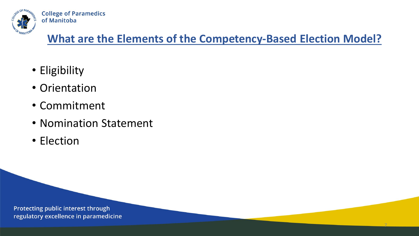

#### **What are the Elements of the Competency-Based Election Model?**

7

- Eligibility
- Orientation
- Commitment
- Nomination Statement
- Election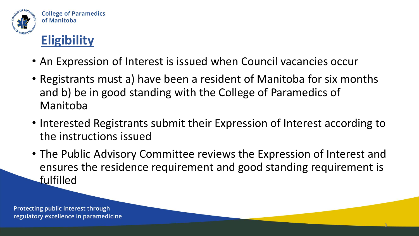

### **Eligibility**

- An Expression of Interest is issued when Council vacancies occur
- Registrants must a) have been a resident of Manitoba for six months and b) be in good standing with the College of Paramedics of Manitoba
- Interested Registrants submit their Expression of Interest according to the instructions issued
- The Public Advisory Committee reviews the Expression of Interest and ensures the residence requirement and good standing requirement is fulfilled

8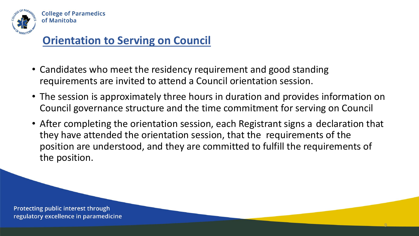

#### **Orientation to Serving on Council**

- Candidates who meet the residency requirement and good standing requirements are invited to attend a Council orientation session.
- The session is approximately three hours in duration and provides information on Council governance structure and the time commitment for serving on Council
- After completing the orientation session, each Registrant signs a declaration that they have attended the orientation session, that the requirements of the position are understood, and they are committed to fulfill the requirements of the position.

9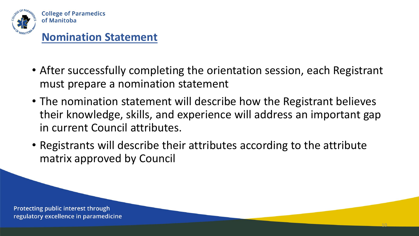

#### **Nomination Statement**

- After successfully completing the orientation session, each Registrant must prepare a nomination statement
- The nomination statement will describe how the Registrant believes their knowledge, skills, and experience will address an important gap in current Council attributes.
- Registrants will describe their attributes according to the attribute matrix approved by Council

10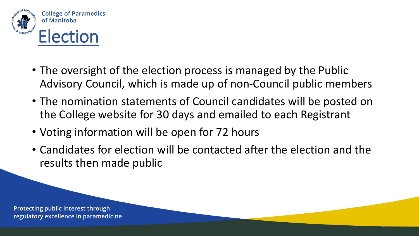

- The oversight of the election process is managed by the Public Advisory Council, which is made up of non-Council public members
- The nomination statements of Council candidates will be posted on the College website for 30 days and emailed to each Registrant
- Voting information will be open for 72 hours
- Candidates for election will be contacted after the election and the results then made public

11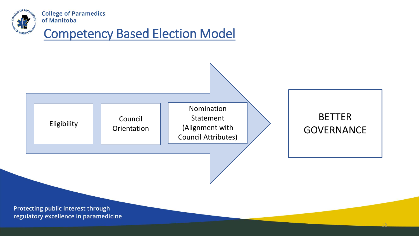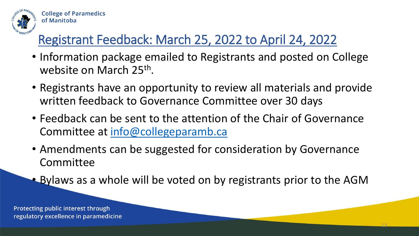

### Registrant Feedback: March 25, 2022 to April 24, 2022

- Information package emailed to Registrants and posted on College website on March 25<sup>th</sup>.
- Registrants have an opportunity to review all materials and provide written feedback to Governance Committee over 30 days
- Feedback can be sent to the attention of the Chair of Governance Committee at [info@collegeparamb.ca](mailto:info@collegeparamb.ca)
- Amendments can be suggested for consideration by Governance Committee
- Bylaws as a whole will be voted on by registrants prior to the AGM

13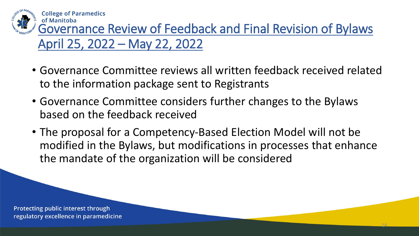

of Manitoba Governance Review of Feedback and Final Revision of Bylaws April 25, 2022 – May 22, 2022

- Governance Committee reviews all written feedback received related to the information package sent to Registrants
- Governance Committee considers further changes to the Bylaws based on the feedback received
- The proposal for a Competency-Based Election Model will not be modified in the Bylaws, but modifications in processes that enhance the mandate of the organization will be considered

14

Protecting public interest through regulatory excellence in paramedicine

**College of Paramedics**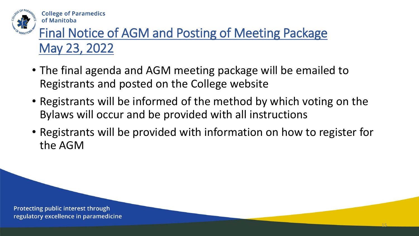

### Final Notice of AGM and Posting of Meeting Package May 23, 2022

- The final agenda and AGM meeting package will be emailed to Registrants and posted on the College website
- Registrants will be informed of the method by which voting on the Bylaws will occur and be provided with all instructions
- Registrants will be provided with information on how to register for the AGM

15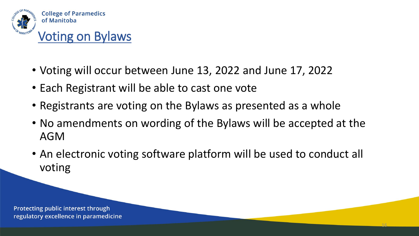

- Voting will occur between June 13, 2022 and June 17, 2022
- Each Registrant will be able to cast one vote
- Registrants are voting on the Bylaws as presented as a whole
- No amendments on wording of the Bylaws will be accepted at the AGM
- An electronic voting software platform will be used to conduct all voting

16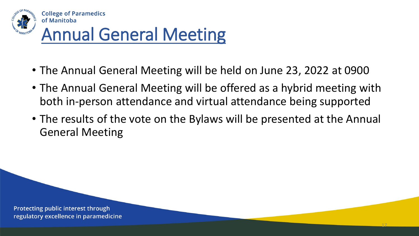

# Annual General Meeting

- The Annual General Meeting will be held on June 23, 2022 at 0900
- The Annual General Meeting will be offered as a hybrid meeting with both in-person attendance and virtual attendance being supported
- The results of the vote on the Bylaws will be presented at the Annual General Meeting